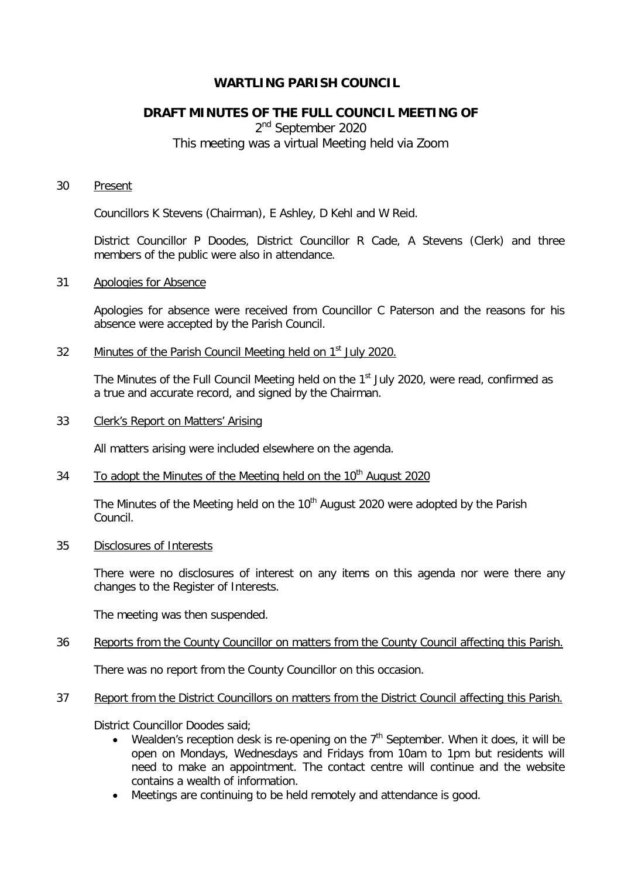# **WARTLING PARISH COUNCIL**

# **DRAFT MINUTES OF THE FULL COUNCIL MEETING OF**

2<sup>nd</sup> September 2020 This meeting was a virtual Meeting held via Zoom

#### 30 Present

Councillors K Stevens (Chairman), E Ashley, D Kehl and W Reid.

District Councillor P Doodes, District Councillor R Cade, A Stevens (Clerk) and three members of the public were also in attendance.

### 31 Apologies for Absence

Apologies for absence were received from Councillor C Paterson and the reasons for his absence were accepted by the Parish Council.

32 Minutes of the Parish Council Meeting held on 1<sup>st</sup> July 2020.

The Minutes of the Full Council Meeting held on the 1<sup>st</sup> July 2020, were read, confirmed as a true and accurate record, and signed by the Chairman.

### 33 Clerk's Report on Matters' Arising

All matters arising were included elsewhere on the agenda.

# $34$  To adopt the Minutes of the Meeting held on the 10<sup>th</sup> August 2020

The Minutes of the Meeting held on the 10<sup>th</sup> August 2020 were adopted by the Parish Council.

### 35 Disclosures of Interests

There were no disclosures of interest on any items on this agenda nor were there any changes to the Register of Interests.

The meeting was then suspended.

### 36 Reports from the County Councillor on matters from the County Council affecting this Parish.

There was no report from the County Councillor on this occasion.

# 37 Report from the District Councillors on matters from the District Council affecting this Parish.

District Councillor Doodes said;

- Wealden's reception desk is re-opening on the  $7<sup>th</sup>$  September. When it does, it will be open on Mondays, Wednesdays and Fridays from 10am to 1pm but residents will need to make an appointment. The contact centre will continue and the website contains a wealth of information.
- Meetings are continuing to be held remotely and attendance is good.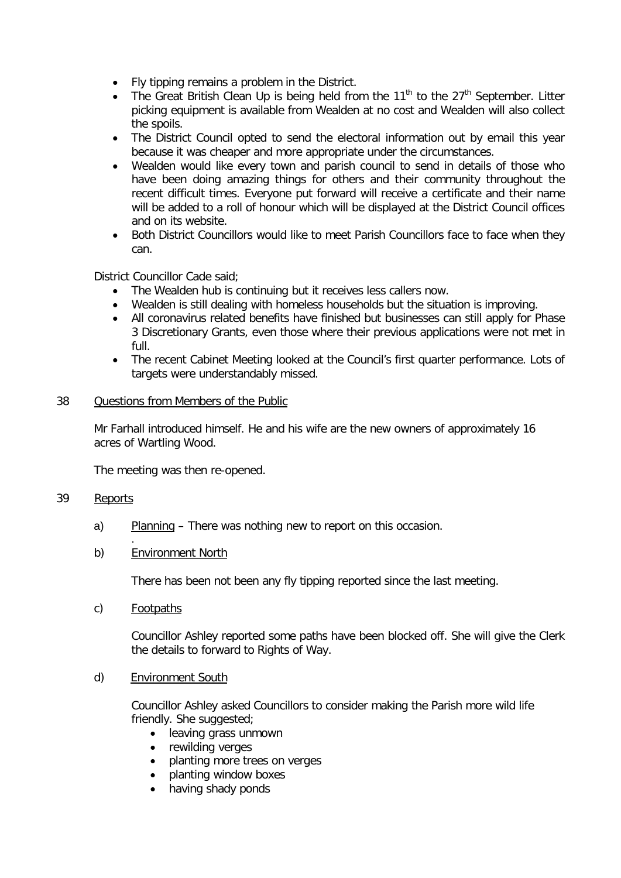- Fly tipping remains a problem in the District.
- The Great British Clean Up is being held from the  $11<sup>th</sup>$  to the  $27<sup>th</sup>$  September. Litter picking equipment is available from Wealden at no cost and Wealden will also collect the spoils.
- The District Council opted to send the electoral information out by email this year because it was cheaper and more appropriate under the circumstances.
- Wealden would like every town and parish council to send in details of those who have been doing amazing things for others and their community throughout the recent difficult times. Everyone put forward will receive a certificate and their name will be added to a roll of honour which will be displayed at the District Council offices and on its website.
- Both District Councillors would like to meet Parish Councillors face to face when they can.

District Councillor Cade said;

- The Wealden hub is continuing but it receives less callers now.
- Wealden is still dealing with homeless households but the situation is improving.
- All coronavirus related benefits have finished but businesses can still apply for Phase 3 Discretionary Grants, even those where their previous applications were not met in full.
- The recent Cabinet Meeting looked at the Council's first quarter performance. Lots of targets were understandably missed.

### 38 Questions from Members of the Public

Mr Farhall introduced himself. He and his wife are the new owners of approximately 16 acres of Wartling Wood.

The meeting was then re-opened.

# 39 Reports

- a) Planning There was nothing new to report on this occasion.
- b) Environment North

There has been not been any fly tipping reported since the last meeting.

c) Footpaths

.

Councillor Ashley reported some paths have been blocked off. She will give the Clerk the details to forward to Rights of Way.

d) Environment South

Councillor Ashley asked Councillors to consider making the Parish more wild life friendly. She suggested;

- leaving grass unmown
- rewilding verges
- planting more trees on verges
- planting window boxes
- having shady ponds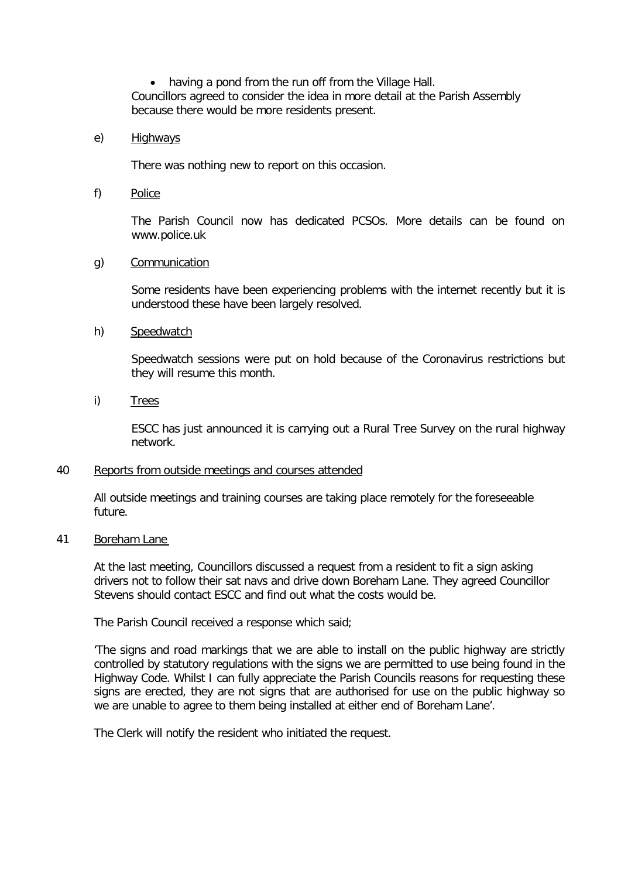• having a pond from the run off from the Village Hall. Councillors agreed to consider the idea in more detail at the Parish Assembly because there would be more residents present.

### e) Highways

There was nothing new to report on this occasion.

f) Police

The Parish Council now has dedicated PCSOs. More details can be found on www.police.uk

### g) Communication

Some residents have been experiencing problems with the internet recently but it is understood these have been largely resolved.

### h) Speedwatch

Speedwatch sessions were put on hold because of the Coronavirus restrictions but they will resume this month.

i) Trees

ESCC has just announced it is carrying out a Rural Tree Survey on the rural highway network.

### 40 Reports from outside meetings and courses attended

All outside meetings and training courses are taking place remotely for the foreseeable future.

### 41 Boreham Lane

At the last meeting, Councillors discussed a request from a resident to fit a sign asking drivers not to follow their sat navs and drive down Boreham Lane. They agreed Councillor Stevens should contact ESCC and find out what the costs would be.

The Parish Council received a response which said;

'The signs and road markings that we are able to install on the public highway are strictly controlled by statutory regulations with the signs we are permitted to use being found in the Highway Code. Whilst I can fully appreciate the Parish Councils reasons for requesting these signs are erected, they are not signs that are authorised for use on the public highway so we are unable to agree to them being installed at either end of Boreham Lane'.

The Clerk will notify the resident who initiated the request.